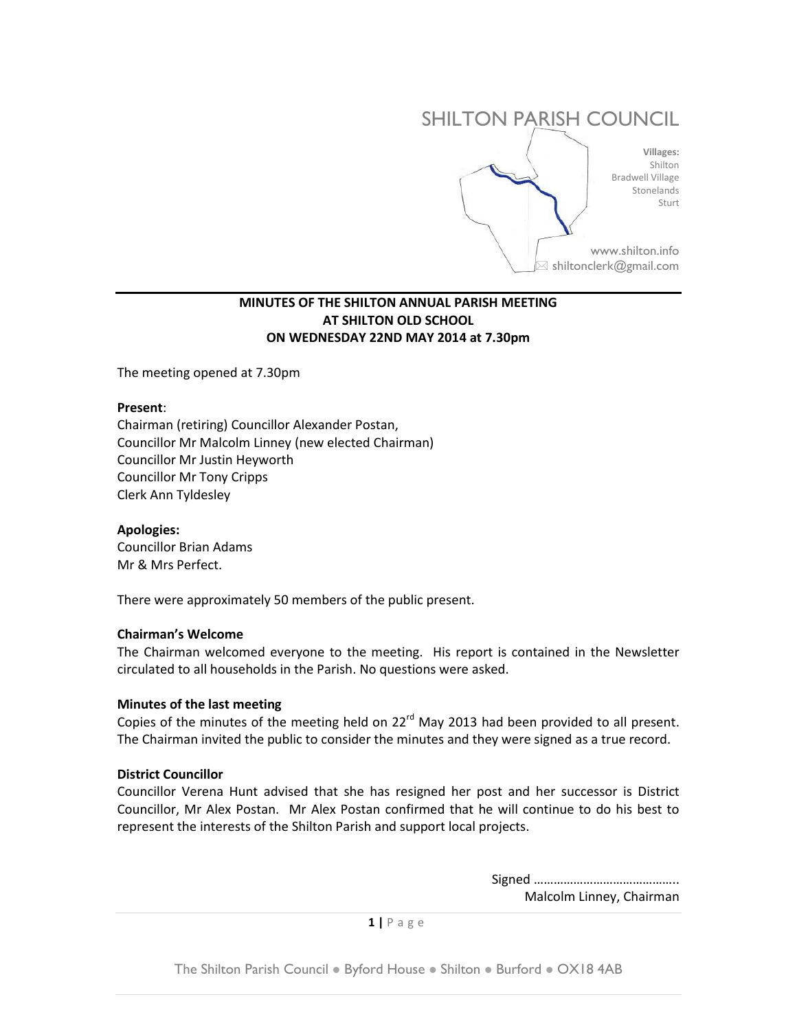

# **MINUTES OF THE SHILTON ANNUAL PARISH MEETING AT SHILTON OLD SCHOOL ON WEDNESDAY 22ND MAY 2014 at 7.30pm**

The meeting opened at 7.30pm

#### **Present**:

Chairman (retiring) Councillor Alexander Postan, Councillor Mr Malcolm Linney (new elected Chairman) Councillor Mr Justin Heyworth Councillor Mr Tony Cripps Clerk Ann Tyldesley

# **Apologies:**

Councillor Brian Adams Mr & Mrs Perfect.

There were approximately 50 members of the public present.

#### **Chairman's Welcome**

The Chairman welcomed everyone to the meeting. His report is contained in the Newsletter circulated to all households in the Parish. No questions were asked.

#### **Minutes of the last meeting**

Copies of the minutes of the meeting held on 22<sup>rd</sup> May 2013 had been provided to all present. The Chairman invited the public to consider the minutes and they were signed as a true record.

#### **District Councillor**

Councillor Verena Hunt advised that she has resigned her post and her successor is District Councillor, Mr Alex Postan. Mr Alex Postan confirmed that he will continue to do his best to represent the interests of the Shilton Parish and support local projects.

> Signed …………………………………….. Malcolm Linney, Chairman

**1 |** P a g e

The Shilton Parish Council . Byford House . Shilton . Burford . OX18 4AB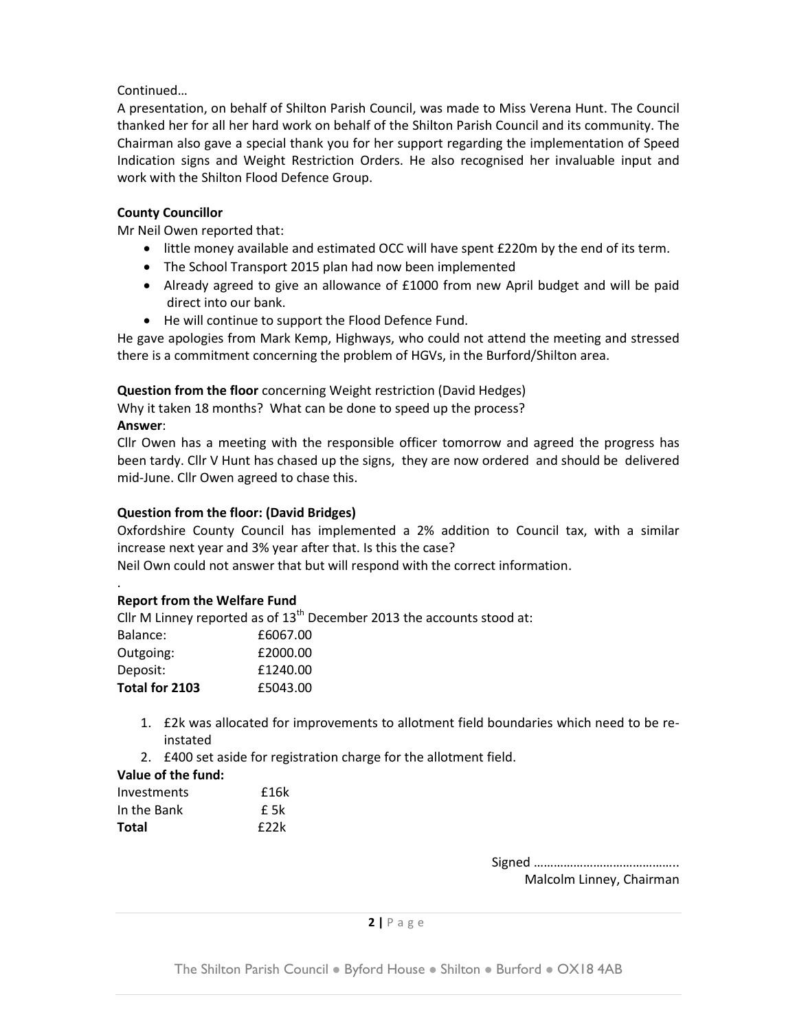# Continued…

A presentation, on behalf of Shilton Parish Council, was made to Miss Verena Hunt. The Council thanked her for all her hard work on behalf of the Shilton Parish Council and its community. The Chairman also gave a special thank you for her support regarding the implementation of Speed Indication signs and Weight Restriction Orders. He also recognised her invaluable input and work with the Shilton Flood Defence Group.

# **County Councillor**

Mr Neil Owen reported that:

- little money available and estimated OCC will have spent £220m by the end of its term.
- The School Transport 2015 plan had now been implemented
- Already agreed to give an allowance of £1000 from new April budget and will be paid direct into our bank.
- He will continue to support the Flood Defence Fund.

He gave apologies from Mark Kemp, Highways, who could not attend the meeting and stressed there is a commitment concerning the problem of HGVs, in the Burford/Shilton area.

**Question from the floor** concerning Weight restriction (David Hedges)

Why it taken 18 months? What can be done to speed up the process?

# **Answer**:

Cllr Owen has a meeting with the responsible officer tomorrow and agreed the progress has been tardy. Cllr V Hunt has chased up the signs, they are now ordered and should be delivered mid-June. Cllr Owen agreed to chase this.

# **Question from the floor: (David Bridges)**

Oxfordshire County Council has implemented a 2% addition to Council tax, with a similar increase next year and 3% year after that. Is this the case?

Neil Own could not answer that but will respond with the correct information.

#### . **Report from the Welfare Fund**

Cllr M Linney reported as of  $13<sup>th</sup>$  December 2013 the accounts stood at:

| Balance:       | £6067.00 |
|----------------|----------|
| Outgoing:      | £2000.00 |
| Deposit:       | £1240.00 |
| Total for 2103 | £5043.00 |

- 1. £2k was allocated for improvements to allotment field boundaries which need to be reinstated
- 2. £400 set aside for registration charge for the allotment field.

# **Value of the fund:**

| Investments | £16k |
|-------------|------|
| In the Bank | f 5k |
| Total       | f22k |

Signed …………………………………….. Malcolm Linney, Chairman

# **2 |** P a g e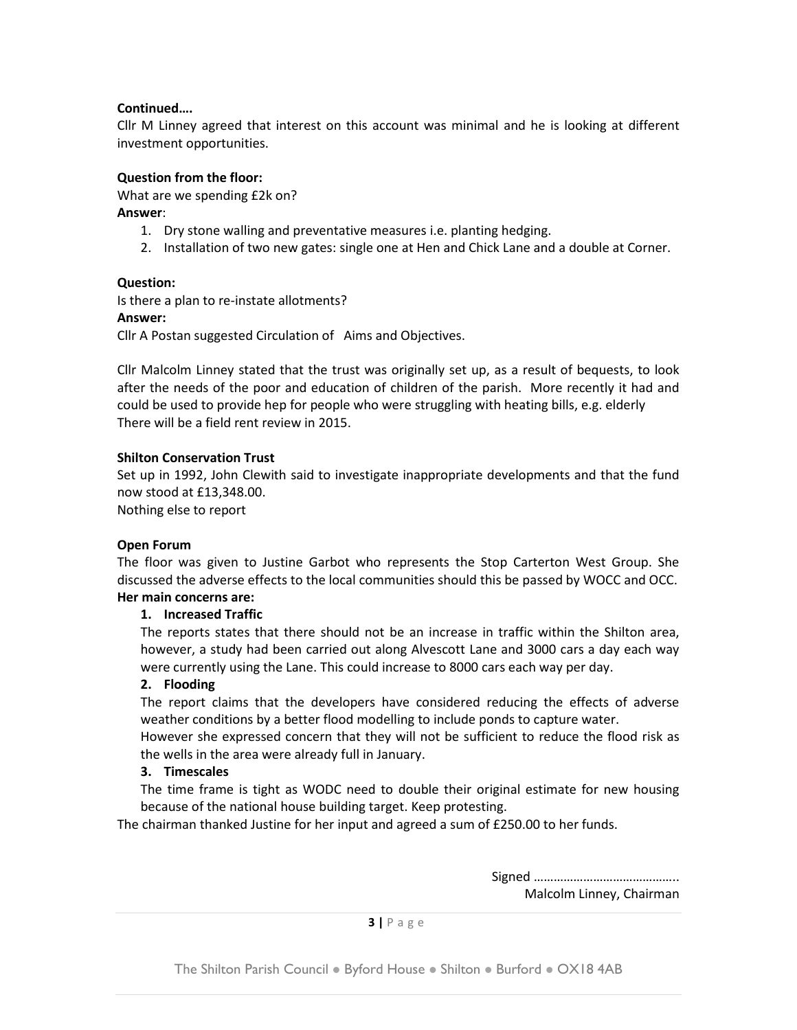# **Continued….**

Cllr M Linney agreed that interest on this account was minimal and he is looking at different investment opportunities.

# **Question from the floor:**

What are we spending £2k on?

# **Answer**:

- 1. Dry stone walling and preventative measures i.e. planting hedging.
- 2. Installation of two new gates: single one at Hen and Chick Lane and a double at Corner.

# **Question:**

Is there a plan to re-instate allotments?

# **Answer:**

Cllr A Postan suggested Circulation of Aims and Objectives.

Cllr Malcolm Linney stated that the trust was originally set up, as a result of bequests, to look after the needs of the poor and education of children of the parish. More recently it had and could be used to provide hep for people who were struggling with heating bills, e.g. elderly There will be a field rent review in 2015.

# **Shilton Conservation Trust**

Set up in 1992, John Clewith said to investigate inappropriate developments and that the fund now stood at £13,348.00.

Nothing else to report

# **Open Forum**

The floor was given to Justine Garbot who represents the Stop Carterton West Group. She discussed the adverse effects to the local communities should this be passed by WOCC and OCC. **Her main concerns are:**

# **1. Increased Traffic**

The reports states that there should not be an increase in traffic within the Shilton area, however, a study had been carried out along Alvescott Lane and 3000 cars a day each way were currently using the Lane. This could increase to 8000 cars each way per day.

# **2. Flooding**

The report claims that the developers have considered reducing the effects of adverse weather conditions by a better flood modelling to include ponds to capture water.

However she expressed concern that they will not be sufficient to reduce the flood risk as the wells in the area were already full in January.

# **3. Timescales**

The time frame is tight as WODC need to double their original estimate for new housing because of the national house building target. Keep protesting.

The chairman thanked Justine for her input and agreed a sum of £250.00 to her funds.

Signed …………………………………….. Malcolm Linney, Chairman

**3 |** P a g e